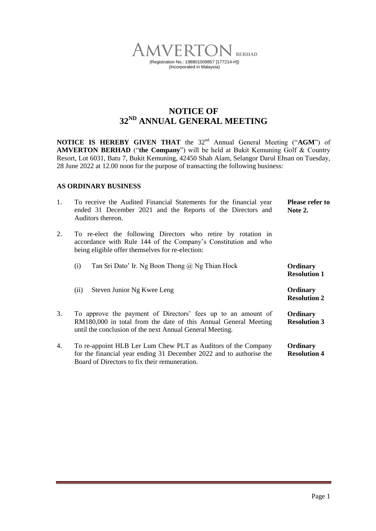

# **NOTICE OF 32 ND ANNUAL GENERAL MEETING**

**NOTICE IS HEREBY GIVEN THAT** the 32<sup>nd</sup> Annual General Meeting ("AGM") of **AMVERTON BERHAD** ("**the Company**") will be held at Bukit Kemuning Golf & Country Resort, Lot 6031, Batu 7, Bukit Kemuning, 42450 Shah Alam, Selangor Darul Ehsan on Tuesday, 28 June 2022 at 12.00 noon for the purpose of transacting the following business:

### **AS ORDINARY BUSINESS**

| $\mathbf{1}$ . | To receive the Audited Financial Statements for the financial year<br>ended 31 December 2021 and the Reports of the Directors and<br>Auditors thereon.                                      | <b>Please refer to</b><br>Note 2. |
|----------------|---------------------------------------------------------------------------------------------------------------------------------------------------------------------------------------------|-----------------------------------|
| 2.             | To re-elect the following Directors who retire by rotation in<br>accordance with Rule 144 of the Company's Constitution and who<br>being eligible offer themselves for re-election:         |                                   |
|                | Tan Sri Dato' Ir. Ng Boon Thong @ Ng Thian Hock<br>(i)                                                                                                                                      | Ordinary<br><b>Resolution 1</b>   |
|                | Steven Junior Ng Kwee Leng<br>(ii)                                                                                                                                                          | Ordinary<br><b>Resolution 2</b>   |
| 3.             | To approve the payment of Directors' fees up to an amount of<br>RM180,000 in total from the date of this Annual General Meeting<br>until the conclusion of the next Annual General Meeting. | Ordinary<br><b>Resolution 3</b>   |
| 4.             | To re-appoint HLB Ler Lum Chew PLT as Auditors of the Company<br>for the financial year ending 31 December 2022 and to authorise the<br>Board of Directors to fix their remuneration.       | Ordinary<br><b>Resolution 4</b>   |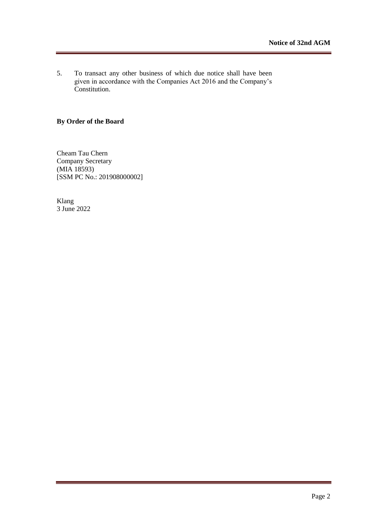5. To transact any other business of which due notice shall have been given in accordance with the Companies Act 2016 and the Company's Constitution.

## **By Order of the Board**

Cheam Tau Chern Company Secretary (MIA 18593) [SSM PC No.: 201908000002]

Klang 3 June 2022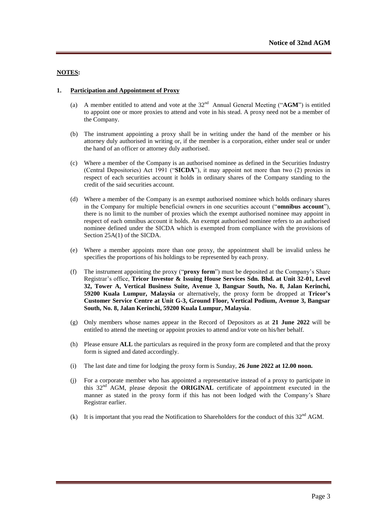#### **NOTES:**

#### **1. Participation and Appointment of Proxy**

- (a) A member entitled to attend and vote at the  $32<sup>nd</sup>$  Annual General Meeting ("AGM") is entitled to appoint one or more proxies to attend and vote in his stead. A proxy need not be a member of the Company.
- (b) The instrument appointing a proxy shall be in writing under the hand of the member or his attorney duly authorised in writing or, if the member is a corporation, either under seal or under the hand of an officer or attorney duly authorised.
- (c) Where a member of the Company is an authorised nominee as defined in the Securities Industry (Central Depositories) Act 1991 ("**SICDA**"), it may appoint not more than two (2) proxies in respect of each securities account it holds in ordinary shares of the Company standing to the credit of the said securities account.
- (d) Where a member of the Company is an exempt authorised nominee which holds ordinary shares in the Company for multiple beneficial owners in one securities account ("**omnibus account**"), there is no limit to the number of proxies which the exempt authorised nominee may appoint in respect of each omnibus account it holds. An exempt authorised nominee refers to an authorised nominee defined under the SICDA which is exempted from compliance with the provisions of Section 25A(1) of the SICDA.
- (e) Where a member appoints more than one proxy, the appointment shall be invalid unless he specifies the proportions of his holdings to be represented by each proxy.
- (f) The instrument appointing the proxy ("**proxy form**") must be deposited at the Company's Share Registrar's office, **Tricor Investor & Issuing House Services Sdn. Bhd. at Unit 32-01, Level 32, Tower A, Vertical Business Suite, Avenue 3, Bangsar South, No. 8, Jalan Kerinchi, 59200 Kuala Lumpur, Malaysia** or alternatively, the proxy form be dropped at **Tricor's Customer Service Centre at Unit G-3, Ground Floor, Vertical Podium, Avenue 3, Bangsar South, No. 8, Jalan Kerinchi, 59200 Kuala Lumpur, Malaysia**.
- (g) Only members whose names appear in the Record of Depositors as at **21 June 2022** will be entitled to attend the meeting or appoint proxies to attend and/or vote on his/her behalf.
- (h) Please ensure **ALL** the particulars as required in the proxy form are completed and that the proxy form is signed and dated accordingly.
- (i) The last date and time for lodging the proxy form is Sunday, **26 June 2022 at 12.00 noon.**
- (j) For a corporate member who has appointed a representative instead of a proxy to participate in this 32nd AGM, please deposit the **ORIGINAL** certificate of appointment executed in the manner as stated in the proxy form if this has not been lodged with the Company's Share Registrar earlier.
- (k) It is important that you read the Notification to Shareholders for the conduct of this  $32<sup>nd</sup>$  AGM.